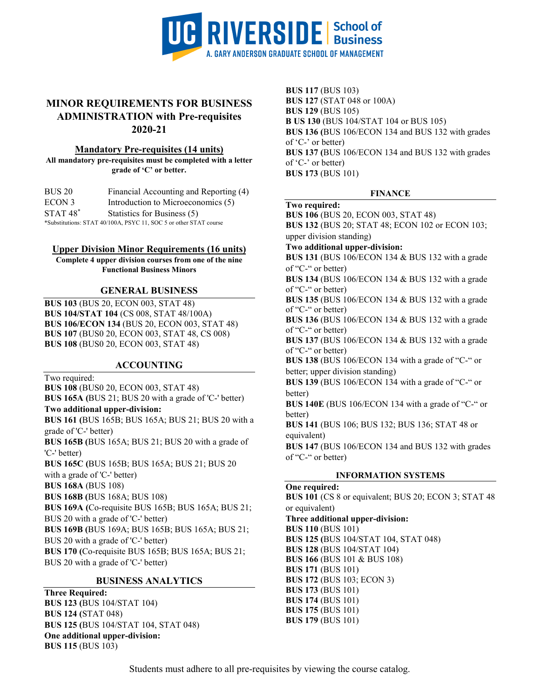

## **MINOR REQUIREMENTS FOR BUSINESS ADMINISTRATION with Pre-requisites 2020-21**

#### **Mandatory Pre-requisites (14 units)**

**All mandatory pre-requisites must be completed with a letter grade of 'C' or better.**

| BUS 20        | Financial Accounting and Reporting (4) |
|---------------|----------------------------------------|
| ECON 3        | Introduction to Microeconomics (5)     |
| $STAT$ $48^*$ | Statistics for Business (5)            |

\*Substitutions: STAT 40/100A, PSYC 11, SOC 5 or other STAT course

### **Upper Division Minor Requirements (16 units)**

**Complete 4 upper division courses from one of the nine Functional Business Minors**

## **GENERAL BUSINESS**

**BUS 103** (BUS 20, ECON 003, STAT 48) **BUS 104/STAT 104** (CS 008, STAT 48/100A) **BUS 106/ECON 134** (BUS 20, ECON 003, STAT 48) **BUS 107** (BUS0 20, ECON 003, STAT 48, CS 008) **BUS 108** (BUS0 20, ECON 003, STAT 48)

## **ACCOUNTING**

Two required:

**BUS 108** (BUS0 20, ECON 003, STAT 48)

**BUS 165A (**BUS 21; BUS 20 with a grade of 'C-' better)

**Two additional upper-division:**

**BUS 161 (**BUS 165B; BUS 165A; BUS 21; BUS 20 with a grade of 'C-' better) **BUS 165B (**BUS 165A; BUS 21; BUS 20 with a grade of

'C-' better)

**BUS 165C (**BUS 165B; BUS 165A; BUS 21; BUS 20

with a grade of 'C-' better)

**BUS 168A** (BUS 108)

**BUS 168B (**BUS 168A; BUS 108)

**BUS 169A (**Co-requisite BUS 165B; BUS 165A; BUS 21; BUS 20 with a grade of 'C-' better)

**BUS 169B (**BUS 169A; BUS 165B; BUS 165A; BUS 21;

BUS 20 with a grade of 'C-' better)

**BUS 170 (**Co-requisite BUS 165B; BUS 165A; BUS 21;

BUS 20 with a grade of 'C-' better)

## **BUSINESS ANALYTICS**

**Three Required: BUS 123 (**BUS 104/STAT 104) **BUS 124 (**STAT 048) **BUS 125 (**BUS 104/STAT 104, STAT 048) **One additional upper-division: BUS 115** (BUS 103)

**BUS 117** (BUS 103) **BUS 127** (STAT 048 or 100A) **BUS 129** (BUS 105) **B US 130** (BUS 104/STAT 104 or BUS 105) **BUS 136 (**BUS 106/ECON 134 and BUS 132 with grades of 'C-' or better) **BUS 137 (**BUS 106/ECON 134 and BUS 132 with grades of 'C-' or better) **BUS 173** (BUS 101)

### **FINANCE**

### **Two required:**

**BUS 106** (BUS 20, ECON 003, STAT 48) **BUS 132** (BUS 20; STAT 48; ECON 102 or ECON 103;

upper division standing)

**Two additional upper-division:**

**BUS 131** (BUS 106/ECON 134 & BUS 132 with a grade of "C-" or better)

**BUS 134** (BUS 106/ECON 134 & BUS 132 with a grade of "C-" or better)

**BUS 135** (BUS 106/ECON 134 & BUS 132 with a grade of "C-" or better)

**BUS 136** (BUS 106/ECON 134 & BUS 132 with a grade of "C-" or better)

**BUS 137** (BUS 106/ECON 134 & BUS 132 with a grade of "C-" or better)

**BUS 138** (BUS 106/ECON 134 with a grade of "C-" or better; upper division standing)

**BUS 139** (BUS 106/ECON 134 with a grade of "C-" or better)

**BUS 140E** (BUS 106/ECON 134 with a grade of "C-" or better)

**BUS 141** (BUS 106; BUS 132; BUS 136; STAT 48 or equivalent)

**BUS 147** (BUS 106/ECON 134 and BUS 132 with grades of "C-" or better)

## **INFORMATION SYSTEMS**

**One required: BUS 101** (CS 8 or equivalent; BUS 20; ECON 3; STAT 48 or equivalent) **Three additional upper-division: BUS 110** (BUS 101) **BUS 125 (**BUS 104/STAT 104, STAT 048) **BUS 128** (BUS 104/STAT 104) **BUS 166** (BUS 101 & BUS 108) **BUS 171** (BUS 101) **BUS 172** (BUS 103; ECON 3) **BUS 173** (BUS 101) **BUS 174** (BUS 101) **BUS 175** (BUS 101) **BUS 179** (BUS 101)

Students must adhere to all pre-requisites by viewing the course catalog.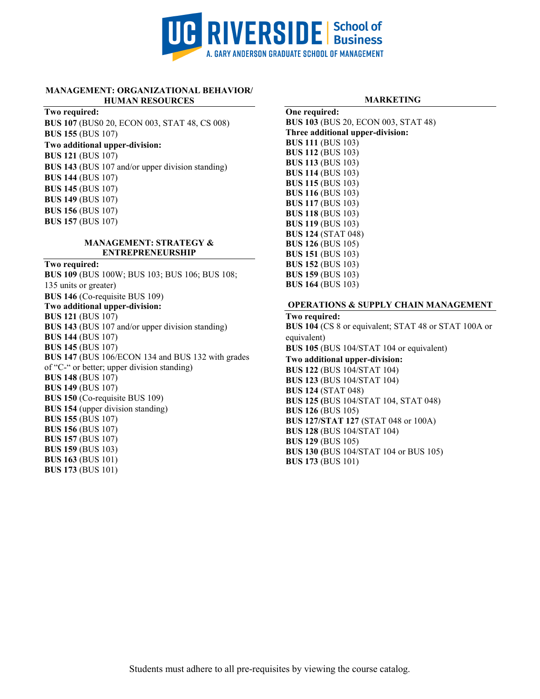

#### **MANAGEMENT: ORGANIZATIONAL BEHAVIOR/ HUMAN RESOURCES**

#### **Two required:**

**BUS 107** (BUS0 20, ECON 003, STAT 48, CS 008) **BUS 155** (BUS 107) **Two additional upper-division: BUS 121** (BUS 107) **BUS 143** (BUS 107 and/or upper division standing) **BUS 144** (BUS 107) **BUS 145** (BUS 107) **BUS 149** (BUS 107) **BUS 156** (BUS 107) **BUS 157** (BUS 107)

#### **MANAGEMENT: STRATEGY & ENTREPRENEURSHIP**

**Two required:**

**BUS 109** (BUS 100W; BUS 103; BUS 106; BUS 108; 135 units or greater) **BUS 146** (Co-requisite BUS 109) **Two additional upper-division: BUS 121** (BUS 107) **BUS 143** (BUS 107 and/or upper division standing) **BUS 144** (BUS 107) **BUS 145** (BUS 107) **BUS 147** (BUS 106/ECON 134 and BUS 132 with grades of "C-" or better; upper division standing) **BUS 148** (BUS 107) **BUS 149** (BUS 107) **BUS 150** (Co-requisite BUS 109) **BUS 154** (upper division standing) **BUS 155** (BUS 107) **BUS 156** (BUS 107) **BUS 157** (BUS 107) **BUS 159** (BUS 103) **BUS 163** (BUS 101) **BUS 173** (BUS 101)

#### **MARKETING**

**One required: BUS 103** (BUS 20, ECON 003, STAT 48) **Three additional upper-division: BUS 111** (BUS 103) **BUS 112** (BUS 103) **BUS 113** (BUS 103) **BUS 114** (BUS 103) **BUS 115** (BUS 103) **BUS 116** (BUS 103) **BUS 117** (BUS 103) **BUS 118** (BUS 103) **BUS 119** (BUS 103) **BUS 124** (STAT 048) **BUS 126** (BUS 105) **BUS 151** (BUS 103) **BUS 152** (BUS 103) **BUS 159** (BUS 103) **BUS 164** (BUS 103)

#### **OPERATIONS & SUPPLY CHAIN MANAGEMENT**

**Two required: BUS 104** (CS 8 or equivalent; STAT 48 or STAT 100A or equivalent) **BUS 105** (BUS 104/STAT 104 or equivalent) **Two additional upper-division: BUS 122** (BUS 104/STAT 104) **BUS 123** (BUS 104/STAT 104) **BUS 124** (STAT 048) **BUS 125 (**BUS 104/STAT 104, STAT 048) **BUS 126** (BUS 105) **BUS 127/STAT 127** (STAT 048 or 100A) **BUS 128** (BUS 104/STAT 104) **BUS 129** (BUS 105) **BUS 130 (**BUS 104/STAT 104 or BUS 105) **BUS 173** (BUS 101)